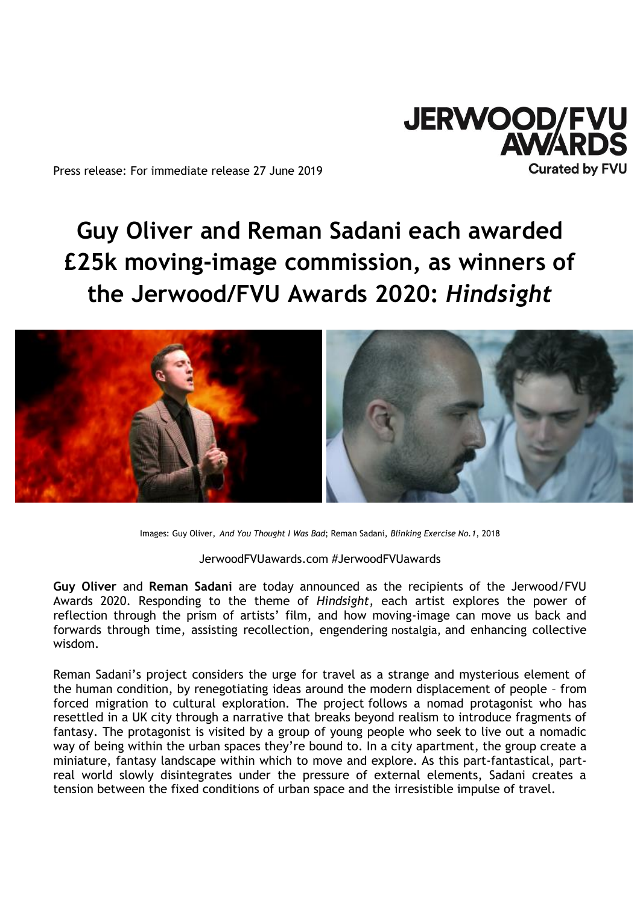

Press release: For immediate release 27 June 2019

# **Guy Oliver and Reman Sadani each awarded £25k moving-image commission, as winners of the Jerwood/FVU Awards 2020:** *Hindsight*



Images: Guy Oliver, *And You Thought I Was Bad*; Reman Sadani, *Blinking Exercise No.1*, 2018

JerwoodFVUawards.com #JerwoodFVUawards

**Guy Oliver** and **Reman Sadani** are today announced as the recipients of the Jerwood/FVU Awards 2020. Responding to the theme of *Hindsight*, each artist explores the power of reflection through the prism of artists' film, and how moving-image can move us back and forwards through time, assisting recollection, engendering nostalgia, and enhancing collective wisdom.

Reman Sadani's project considers the urge for travel as a strange and mysterious element of the human condition, by renegotiating ideas around the modern displacement of people – from forced migration to cultural exploration. The project follows a nomad protagonist who has resettled in a UK city through a narrative that breaks beyond realism to introduce fragments of fantasy. The protagonist is visited by a group of young people who seek to live out a nomadic way of being within the urban spaces they're bound to. In a city apartment, the group create a miniature, fantasy landscape within which to move and explore. As this part-fantastical, partreal world slowly disintegrates under the pressure of external elements, Sadani creates a tension between the fixed conditions of urban space and the irresistible impulse of travel.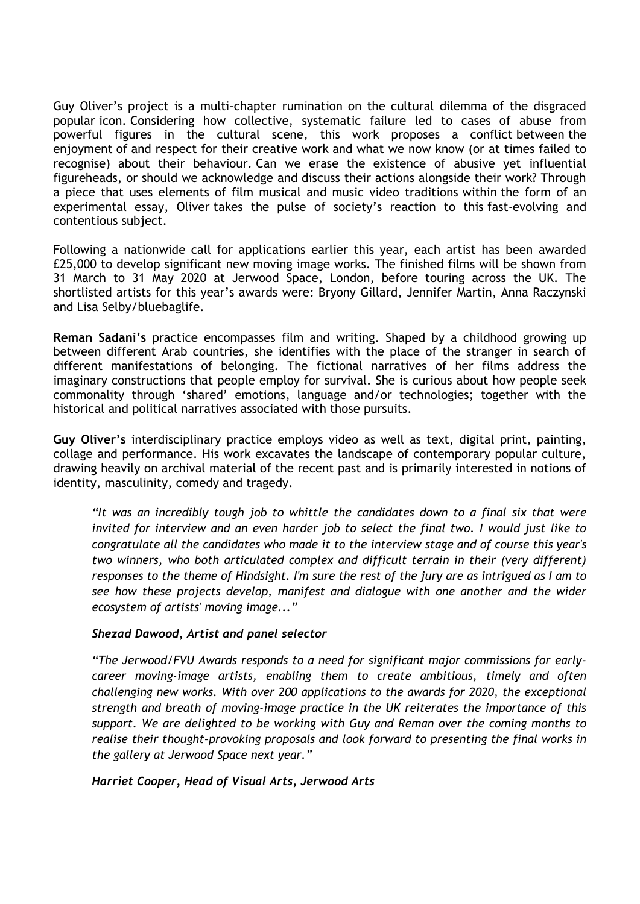Guy Oliver's project is a multi-chapter rumination on the cultural dilemma of the disgraced popular icon. Considering how collective, systematic failure led to cases of abuse from powerful figures in the cultural scene, this work proposes a conflict between the enjoyment of and respect for their creative work and what we now know (or at times failed to recognise) about their behaviour. Can we erase the existence of abusive yet influential figureheads, or should we acknowledge and discuss their actions alongside their work? Through a piece that uses elements of film musical and music video traditions within the form of an experimental essay, Oliver takes the pulse of society's reaction to this fast-evolving and contentious subject.

Following a nationwide call for applications earlier this year, each artist has been awarded £25,000 to develop significant new moving image works. The finished films will be shown from 31 March to 31 May 2020 at Jerwood Space, London, before touring across the UK. The shortlisted artists for this year's awards were: Bryony Gillard, Jennifer Martin, Anna Raczynski and Lisa Selby/bluebaglife.

**Reman Sadani's** practice encompasses film and writing. Shaped by a childhood growing up between different Arab countries, she identifies with the place of the stranger in search of different manifestations of belonging. The fictional narratives of her films address the imaginary constructions that people employ for survival. She is curious about how people seek commonality through 'shared' emotions, language and/or technologies; together with the historical and political narratives associated with those pursuits.

**Guy Oliver's** interdisciplinary practice employs video as well as text, digital print, painting, collage and performance. His work excavates the landscape of contemporary popular culture, drawing heavily on archival material of the recent past and is primarily interested in notions of identity, masculinity, comedy and tragedy.

*"It was an incredibly tough job to whittle the candidates down to a final six that were invited for interview and an even harder job to select the final two. I would just like to congratulate all the candidates who made it to the interview stage and of course this year's two winners, who both articulated complex and difficult terrain in their (very different) responses to the theme of Hindsight. I'm sure the rest of the jury are as intrigued as I am to see how these projects develop, manifest and dialogue with one another and the wider ecosystem of artists' moving image..."* 

# *Shezad Dawood, Artist and panel selector*

*"The Jerwood/FVU Awards responds to a need for significant major commissions for earlycareer moving-image artists, enabling them to create ambitious, timely and often challenging new works. With over 200 applications to the awards for 2020, the exceptional strength and breath of moving-image practice in the UK reiterates the importance of this support. We are delighted to be working with Guy and Reman over the coming months to realise their thought-provoking proposals and look forward to presenting the final works in the gallery at Jerwood Space next year."*

*Harriet Cooper, Head of Visual Arts, Jerwood Arts*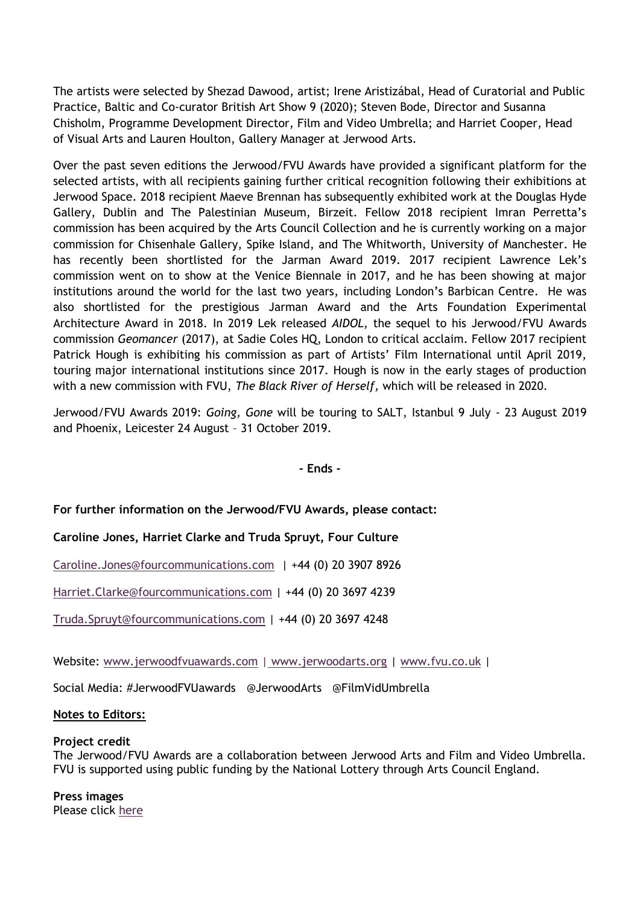The artists were selected by Shezad Dawood, artist; Irene Aristizábal, Head of Curatorial and Public Practice, Baltic and Co-curator British Art Show 9 (2020); Steven Bode, Director and Susanna Chisholm, Programme Development Director, Film and Video Umbrella; and Harriet Cooper, Head of Visual Arts and Lauren Houlton, Gallery Manager at Jerwood Arts.

Over the past seven editions the Jerwood/FVU Awards have provided a significant platform for the selected artists, with all recipients gaining further critical recognition following their exhibitions at Jerwood Space. 2018 recipient Maeve Brennan has subsequently exhibited work at the Douglas Hyde Gallery, Dublin and The Palestinian Museum, Birzeit. Fellow 2018 recipient Imran Perretta's commission has been acquired by the Arts Council Collection and he is currently working on a major commission for Chisenhale Gallery, Spike Island, and The Whitworth, University of Manchester. He has recently been shortlisted for the Jarman Award 2019. 2017 recipient Lawrence Lek's commission went on to show at the Venice Biennale in 2017, and he has been showing at major institutions around the world for the last two years, including London's Barbican Centre. He was also shortlisted for the prestigious Jarman Award and the Arts Foundation Experimental Architecture Award in 2018. In 2019 Lek released *AIDOL*, the sequel to his Jerwood/FVU Awards commission *Geomancer* (2017), at Sadie Coles HQ, London to critical acclaim. Fellow 2017 recipient Patrick Hough is exhibiting his commission as part of Artists' Film International until April 2019, touring major international institutions since 2017. Hough is now in the early stages of production with a new commission with FVU, *The Black River of Herself,* which will be released in 2020.

Jerwood/FVU Awards 2019: *Going, Gone* will be touring to SALT, Istanbul 9 July - 23 August 2019 and Phoenix, Leicester 24 August – 31 October 2019.

**- Ends -**

# **For further information on the Jerwood/FVU Awards, please contact:**

# **Caroline Jones, Harriet Clarke and Truda Spruyt, Four Culture**

[Caroline.Jones@fourcommunications.com](mailto:Caroline.Jones@fourcommunications.com) | +44 (0) 20 3907 8926

[Harriet.Clarke@fourcommunications.com](mailto:Harriet.Clarke@fourcommunications.com) | +44 (0) 20 3697 4239

[Truda.Spruyt@fourcommunications.com](mailto:Truda.Spruyt@fourcommunications.com) | +44 (0) 20 3697 4248

Website: [www.jerwoodfvuawards.com](http://www.jerwoodfvuawards.com/) | [www.jerwoodarts.org](http://www.jerwoodarts.org/) | [www.fvu.co.uk](http://www.fvu.co.uk/) |

Social Media: #JerwoodFVUawards @JerwoodArts @FilmVidUmbrella

#### **Notes to Editors:**

#### **Project credit**

The Jerwood/FVU Awards are a collaboration between Jerwood Arts and Film and Video Umbrella. FVU is supported using public funding by the National Lottery through Arts Council England.

#### **Press images**  Please click [here](https://www.dropbox.com/sh/qmhu8m8g5kq2vvl/AADghsPEmnicFcvyAB1LF6f8a?dl=0)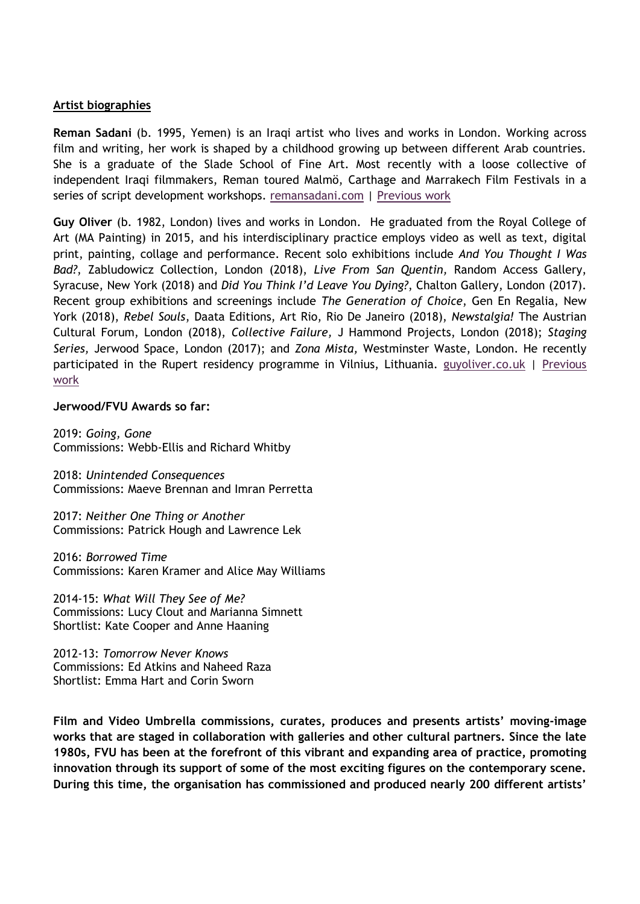## **Artist biographies**

**Reman Sadani** (b. 1995, Yemen) is an Iraqi artist who lives and works in London. Working across film and writing, her work is shaped by a childhood growing up between different Arab countries. She is a graduate of the Slade School of Fine Art. Most recently with a loose collective of independent Iraqi filmmakers, Reman toured Malmö, Carthage and Marrakech Film Festivals in a series of script development workshops. [remansadani.com](https://protect-eu.mimecast.com/s/AvcHCjqOhlEO2Eh7W0tt?domain=remansadani.com) | [Previous work](https://remansadani.com/listofworks.html)

**Guy OIiver** (b. 1982, London) lives and works in London. He graduated from the Royal College of Art (MA Painting) in 2015, and his interdisciplinary practice employs video as well as text, digital print, painting, collage and performance. Recent solo exhibitions include *And You Thought I Was Bad?*, Zabludowicz Collection, London (2018), *Live From San Quentin,* Random Access Gallery, Syracuse, New York (2018) and *Did You Think I'd Leave You Dying?*, Chalton Gallery, London (2017). Recent group exhibitions and screenings include *The Generation of Choice*, Gen En Regalia, New York (2018), *Rebel Souls*, Daata Editions, Art Rio, Rio De Janeiro (2018), *Newstalgia!* The Austrian Cultural Forum, London (2018), *Collective Failure,* J Hammond Projects, London (2018); *Staging Series,* Jerwood Space, London (2017); and *Zona Mista,* Westminster Waste, London. He recently participated in the Rupert residency programme in Vilnius, Lithuania. [guyoliver.co.uk](http://www.guyoliver.co.uk/) | [Previous](https://vimeo.com/211351091)  [work](https://vimeo.com/211351091)

## **Jerwood/FVU Awards so far:**

2019: *Going, Gone* Commissions: Webb-Ellis and Richard Whitby

2018: *Unintended Consequences* Commissions: Maeve Brennan and Imran Perretta

2017: *Neither One Thing or Another* Commissions: Patrick Hough and Lawrence Lek

2016: *Borrowed Time* Commissions: Karen Kramer and Alice May Williams

2014-15: *What Will They See of Me?* Commissions: Lucy Clout and Marianna Simnett Shortlist: Kate Cooper and Anne Haaning

2012-13: *Tomorrow Never Knows* Commissions: Ed Atkins and Naheed Raza Shortlist: Emma Hart and Corin Sworn

**Film and Video Umbrella commissions, curates, produces and presents artists' moving-image works that are staged in collaboration with galleries and other cultural partners. Since the late 1980s, FVU has been at the forefront of this vibrant and expanding area of practice, promoting innovation through its support of some of the most exciting figures on the contemporary scene. During this time, the organisation has commissioned and produced nearly 200 different artists'**